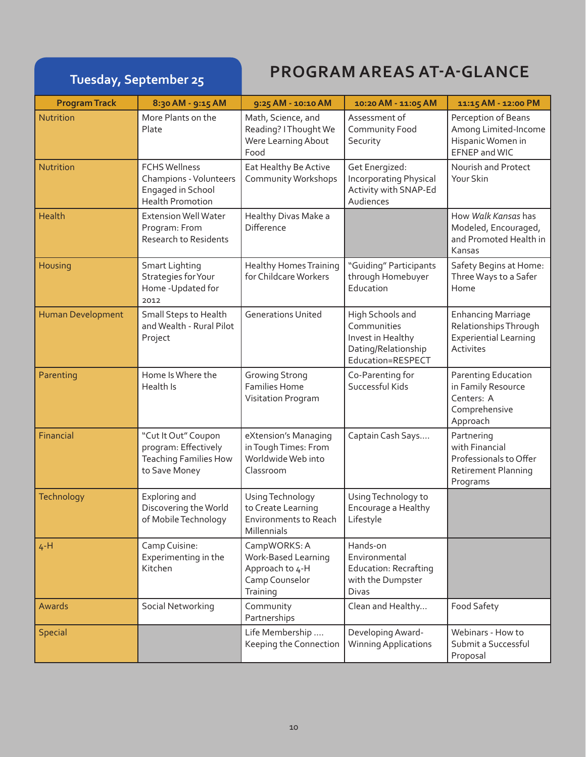# **Tuesday, September 25 PROGRAM AREAS AT-A-GLANCE**

| <b>Program Track</b>     | 8:30 AM - 9:15 AM                                                                              | 9:25 AM - 10:10 AM                                                                   | 10:20 AM - 11:05 AM                                                                              | 11:15 AM - 12:00 PM                                                                             |
|--------------------------|------------------------------------------------------------------------------------------------|--------------------------------------------------------------------------------------|--------------------------------------------------------------------------------------------------|-------------------------------------------------------------------------------------------------|
| Nutrition                | More Plants on the<br>Plate                                                                    | Math, Science, and<br>Reading? I Thought We<br>Were Learning About<br>Food           | Assessment of<br>Community Food<br>Security                                                      | Perception of Beans<br>Among Limited-Income<br>Hispanic Women in<br>EFNEP and WIC               |
| Nutrition                | <b>FCHS Wellness</b><br>Champions - Volunteers<br>Engaged in School<br><b>Health Promotion</b> | Eat Healthy Be Active<br>Community Workshops                                         | Get Energized:<br><b>Incorporating Physical</b><br>Activity with SNAP-Ed<br>Audiences            | Nourish and Protect<br>Your Skin                                                                |
| <b>Health</b>            | <b>Extension Well Water</b><br>Program: From<br><b>Research to Residents</b>                   | Healthy Divas Make a<br>Difference                                                   |                                                                                                  | How Walk Kansas has<br>Modeled, Encouraged,<br>and Promoted Health in<br>Kansas                 |
| Housing                  | Smart Lighting<br>Strategies for Your<br>Home - Updated for<br>2012                            | <b>Healthy Homes Training</b><br>for Childcare Workers                               | "Guiding" Participants<br>through Homebuyer<br>Education                                         | Safety Begins at Home:<br>Three Ways to a Safer<br>Home                                         |
| <b>Human Development</b> | Small Steps to Health<br>and Wealth - Rural Pilot<br>Project                                   | <b>Generations United</b>                                                            | High Schools and<br>Communities<br>Invest in Healthy<br>Dating/Relationship<br>Education=RESPECT | <b>Enhancing Marriage</b><br>Relationships Through<br><b>Experiential Learning</b><br>Activites |
| Parenting                | Home Is Where the<br>Health Is                                                                 | <b>Growing Strong</b><br><b>Families Home</b><br>Visitation Program                  | Co-Parenting for<br>Successful Kids                                                              | <b>Parenting Education</b><br>in Family Resource<br>Centers: A<br>Comprehensive<br>Approach     |
| Financial                | "Cut It Out" Coupon<br>program: Effectively<br><b>Teaching Families How</b><br>to Save Money   | eXtension's Managing<br>in Tough Times: From<br>Worldwide Web into<br>Classroom      | Captain Cash Says                                                                                | Partnering<br>with Financial<br>Professionals to Offer<br>Retirement Planning<br>Programs       |
| <b>Technology</b>        | Exploring and<br>Discovering the World<br>of Mobile Technology                                 | Using Technology<br>to Create Learning<br>Environments to Reach<br>Millennials       | Using Technology to<br>Encourage a Healthy<br>Lifestyle                                          |                                                                                                 |
| $4-H$                    | Camp Cuisine:<br>Experimenting in the<br>Kitchen                                               | CampWORKS: A<br>Work-Based Learning<br>Approach to 4-H<br>Camp Counselor<br>Training | Hands-on<br>Environmental<br><b>Education: Recrafting</b><br>with the Dumpster<br>Divas          |                                                                                                 |
| Awards                   | Social Networking                                                                              | Community<br>Partnerships                                                            | Clean and Healthy                                                                                | Food Safety                                                                                     |
| <b>Special</b>           |                                                                                                | Life Membership<br>Keeping the Connection                                            | Developing Award-<br><b>Winning Applications</b>                                                 | Webinars - How to<br>Submit a Successful<br>Proposal                                            |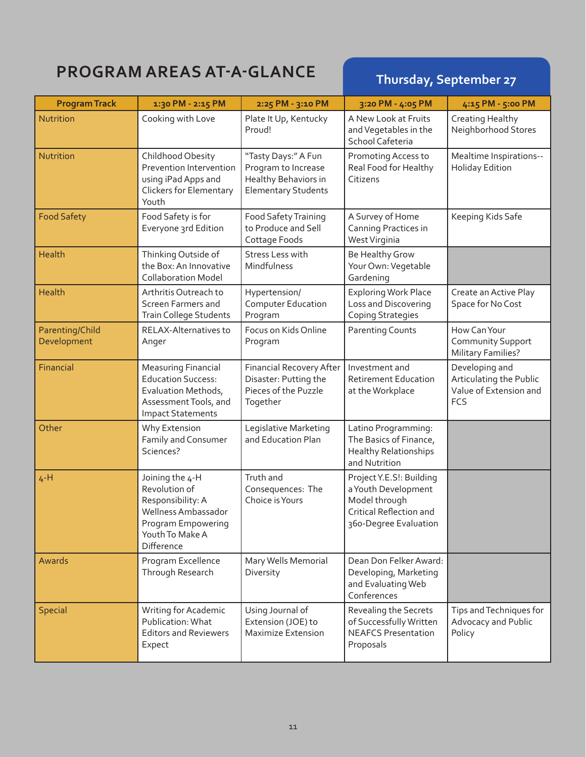# **PROGRAM AREAS AT-A-GLANCE** Thursday, September 27

| <b>Program Track</b>           | 1:30 PM - 2:15 PM                                                                                                                   | 2:25 PM - 3:10 PM                                                                                | 3:20 PM - 4:05 PM                                                                                                    | 4:15 PM - 5:00 PM                                                          |
|--------------------------------|-------------------------------------------------------------------------------------------------------------------------------------|--------------------------------------------------------------------------------------------------|----------------------------------------------------------------------------------------------------------------------|----------------------------------------------------------------------------|
| Nutrition                      | Cooking with Love                                                                                                                   | Plate It Up, Kentucky<br>Proud!                                                                  | A New Look at Fruits<br>and Vegetables in the<br>School Cafeteria                                                    | Creating Healthy<br>Neighborhood Stores                                    |
| Nutrition                      | Childhood Obesity<br>Prevention Intervention<br>using iPad Apps and<br><b>Clickers for Elementary</b><br>Youth                      | "Tasty Days:" A Fun<br>Program to Increase<br>Healthy Behaviors in<br><b>Elementary Students</b> | Promoting Access to<br>Real Food for Healthy<br>Citizens                                                             | Mealtime Inspirations--<br><b>Holiday Edition</b>                          |
| <b>Food Safety</b>             | Food Safety is for<br>Everyone 3rd Edition                                                                                          | Food Safety Training<br>to Produce and Sell<br>Cottage Foods                                     | A Survey of Home<br>Canning Practices in<br>West Virginia                                                            | Keeping Kids Safe                                                          |
| <b>Health</b>                  | Thinking Outside of<br>the Box: An Innovative<br><b>Collaboration Model</b>                                                         | Stress Less with<br>Mindfulness                                                                  | Be Healthy Grow<br>Your Own: Vegetable<br>Gardening                                                                  |                                                                            |
| <b>Health</b>                  | Arthritis Outreach to<br>Screen Farmers and<br><b>Train College Students</b>                                                        | Hypertension/<br><b>Computer Education</b><br>Program                                            | <b>Exploring Work Place</b><br>Loss and Discovering<br><b>Coping Strategies</b>                                      | Create an Active Play<br>Space for No Cost                                 |
| Parenting/Child<br>Development | RELAX-Alternatives to<br>Anger                                                                                                      | Focus on Kids Online<br>Program                                                                  | <b>Parenting Counts</b>                                                                                              | How Can Your<br>Community Support<br><b>Military Families?</b>             |
| Financial                      | <b>Measuring Financial</b><br><b>Education Success:</b><br>Evaluation Methods,<br>Assessment Tools, and<br><b>Impact Statements</b> | <b>Financial Recovery After</b><br>Disaster: Putting the<br>Pieces of the Puzzle<br>Together     | Investment and<br><b>Retirement Education</b><br>at the Workplace                                                    | Developing and<br>Articulating the Public<br>Value of Extension and<br>FCS |
| Other                          | Why Extension<br>Family and Consumer<br>Sciences?                                                                                   | Legislative Marketing<br>and Education Plan                                                      | Latino Programming:<br>The Basics of Finance,<br><b>Healthy Relationships</b><br>and Nutrition                       |                                                                            |
| $4-H$                          | Joining the 4-H<br>Revolution of<br>Responsibility: A<br>Wellness Ambassador<br>Program Empowering<br>Youth To Make A<br>Difference | Truth and<br>Consequences: The<br>Choice is Yours                                                | Project Y.E.S!: Building<br>a Youth Development<br>Model through<br>Critical Reflection and<br>360-Degree Evaluation |                                                                            |
| Awards                         | Program Excellence<br>Through Research                                                                                              | Mary Wells Memorial<br>Diversity                                                                 | Dean Don Felker Award:<br>Developing, Marketing<br>and Evaluating Web<br>Conferences                                 |                                                                            |
| <b>Special</b>                 | Writing for Academic<br>Publication: What<br><b>Editors and Reviewers</b><br>Expect                                                 | Using Journal of<br>Extension (JOE) to<br><b>Maximize Extension</b>                              | Revealing the Secrets<br>of Successfully Written<br><b>NEAFCS Presentation</b><br>Proposals                          | Tips and Techniques for<br>Advocacy and Public<br>Policy                   |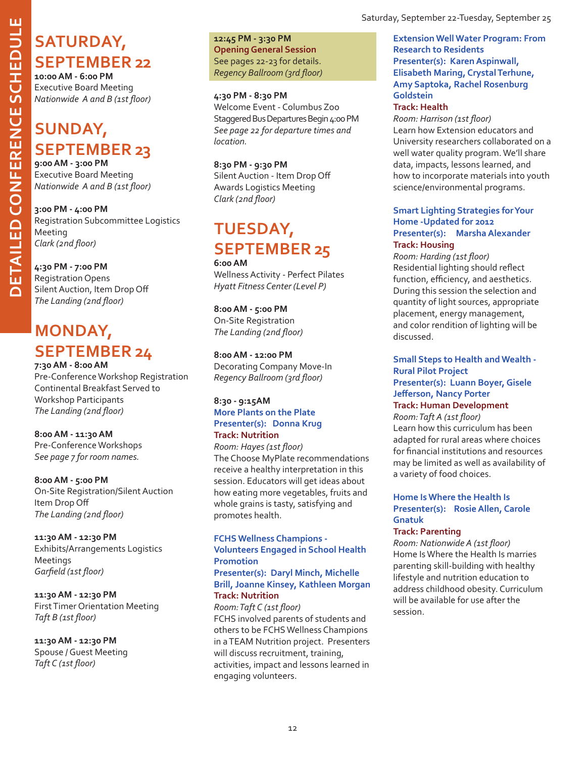## SATURDAY, **September 22**

**10:00 AM - 6:00 PM** Executive Board Meeting *Nationwide A and B (1st floor)*

## **SUNDAY, SEPTEMBER 23** 9:00 AM - 3:00 PM

Executive Board Meeting *Nationwide A and B (1st floor)*

**3:00 PM - 4:00 PM** Registration Subcommittee Logistics Meeting *Clark (2nd floor)*

#### **4:30 PM - 7:00 PM**

Registration Opens Silent Auction, Item Drop Off *The Landing (2nd floor)*

## **Monday, SEPTEMBER 24** 7:30 AM - 8:00 AM

Pre-Conference Workshop Registration Continental Breakfast Served to Workshop Participants *The Landing (2nd floor)*

**8:00 AM - 11:30 AM** Pre-Conference Workshops *See page 7 for room names.*

**8:00 AM - 5:00 PM** On-Site Registration/Silent Auction Item Drop Off *The Landing (2nd floor)*

**11:30 AM - 12:30 PM** Exhibits/Arrangements Logistics Meetings *Garfield (1st floor)*

**11:30 AM - 12:30 PM** First Timer Orientation Meeting *Taft B (1st floor)*

**11:30 AM - 12:30 PM** Spouse / Guest Meeting *Taft C (1st floor)*

**12:45 PM - 3:30 PM Opening General Session** See pages 22-23 for details. *Regency Ballroom (3rd floor)*

#### **4:30 PM - 8:30 PM**

Welcome Event - Columbus Zoo Staggered Bus Departures Begin 4:00 PM *See page 22 for departure times and location.*

**8:30 PM - 9:30 PM** Silent Auction - Item Drop Off Awards Logistics Meeting *Clark (2nd floor)*

## **Tuesday, September 25 6:00 AM**

Wellness Activity - Perfect Pilates *Hyatt Fitness Center (Level P)*

**8:00 AM - 5:00 PM** On-Site Registration *The Landing (2nd floor)*

### **8:00 AM - 12:00 PM**

Decorating Company Move-In *Regency Ballroom (3rd floor)*

#### **8:30 - 9:15AM More Plants on the Plate Presenter(s): Donna Krug Track: Nutrition**

*Room: Hayes (1st floor)* The Choose MyPlate recommendations receive a healthy interpretation in this session. Educators will get ideas about how eating more vegetables, fruits and whole grains is tasty, satisfying and promotes health.

#### **FCHS Wellness Champions - Volunteers Engaged in School Health Promotion**

#### **Presenter(s): Daryl Minch, Michelle Brill, Joanne Kinsey, Kathleen Morgan Track: Nutrition**

*Room: Taft C (1st floor)* FCHS involved parents of students and others to be FCHS Wellness Champions in a TEAM Nutrition project. Presenters will discuss recruitment, training, activities, impact and lessons learned in engaging volunteers.

Saturday, September 22-Tuesday, September 25

#### **Extension Well Water Program: From Research to Residents Presenter(s): Karen Aspinwall, Elisabeth Maring, Crystal Terhune, Amy Saptoka, Rachel Rosenburg Goldstein**

#### **Track: Health**

*Room: Harrison (1st floor)* Learn how Extension educators and University researchers collaborated on a well water quality program. We'll share data, impacts, lessons learned, and how to incorporate materials into youth science/environmental programs.

#### **Smart Lighting Strategies for Your Home -Updated for 2012 Presenter(s): Marsha Alexander Track: Housing**

*Room: Harding (1st floor)* Residential lighting should reflect function, efficiency, and aesthetics. During this session the selection and quantity of light sources, appropriate placement, energy management, and color rendition of lighting will be discussed.

#### **Small Steps to Health and Wealth - Rural Pilot Project Presenter(s): Luann Boyer, Gisele Jefferson, Nancy Porter**

### **Track: Human Development**

*Room: Taft A (1st floor)* Learn how this curriculum has been adapted for rural areas where choices for financial institutions and resources may be limited as well as availability of a variety of food choices.

#### **Home Is Where the Health Is Presenter(s): Rosie Allen, Carole Gnatuk**

#### **Track: Parenting**

*Room: Nationwide A (1st floor)* Home Is Where the Health Is marries parenting skill-building with healthy lifestyle and nutrition education to address childhood obesity. Curriculum will be available for use after the session.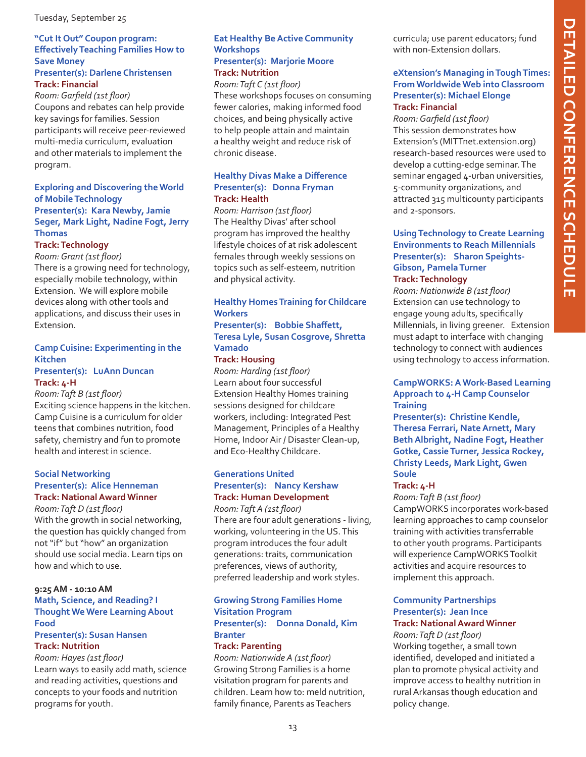### **"Cut It Out" Coupon program: Effectively Teaching Families How to Save Money**

#### **Presenter(s): Darlene Christensen Track: Financial**

*Room: Garfield (1st floor)* Coupons and rebates can help provide key savings for families. Session participants will receive peer-reviewed multi-media curriculum, evaluation and other materials to implement the program.

#### **Exploring and Discovering the World of Mobile Technology Presenter(s): Kara Newby, Jamie Seger, Mark Light, Nadine Fogt, Jerry Thomas**

#### **Track: Technology**

*Room: Grant (1st floor)*

There is a growing need for technology, especially mobile technology, within Extension. We will explore mobile devices along with other tools and applications, and discuss their uses in Extension.

#### **Camp Cuisine: Experimenting in the Kitchen Presenter(s): LuAnn Duncan**

**Track: 4-H** *Room: Taft B (1st floor)*

Exciting science happens in the kitchen. Camp Cuisine is a curriculum for older teens that combines nutrition, food safety, chemistry and fun to promote health and interest in science.

#### **Social Networking Presenter(s): Alice Henneman Track: National Award Winner**

*Room: Taft D (1st floor)* With the growth in social networking, the question has quickly changed from not "if" but "how" an organization should use social media. Learn tips on how and which to use.

#### **9:25 AM - 10:10 AM Math, Science, and Reading? I Thought We Were Learning About Food**

#### **Presenter(s): Susan Hansen Track: Nutrition**

#### *Room: Hayes (1st floor)*

Learn ways to easily add math, science and reading activities, questions and concepts to your foods and nutrition programs for youth.

#### **Eat Healthy Be Active Community Workshops Presenter(s): Marjorie Moore Track: Nutrition**

*Room: Taft C (1st floor)* These workshops focuses on consuming fewer calories, making informed food choices, and being physically active to help people attain and maintain a healthy weight and reduce risk of chronic disease.

#### **Healthy Divas Make a Difference Presenter(s): Donna Fryman Track: Health**

*Room: Harrison (1st floor)* The Healthy Divas' after school program has improved the healthy lifestyle choices of at risk adolescent females through weekly sessions on topics such as self-esteem, nutrition and physical activity.

### **Healthy Homes Training for Childcare Workers**

#### **Presenter(s): Bobbie Shaffett, Teresa Lyle, Susan Cosgrove, Shretta Vamado**

#### **Track: Housing**

*Room: Harding (1st floor)* Learn about four successful Extension Healthy Homes training sessions designed for childcare workers, including: Integrated Pest Management, Principles of a Healthy Home, Indoor Air / Disaster Clean-up, and Eco-Healthy Childcare.

### **Generations United Presenter(s): Nancy Kershaw Track: Human Development**

*Room: Taft A (1st floor)* There are four adult generations - living, working, volunteering in the US. This program introduces the four adult generations: traits, communication preferences, views of authority, preferred leadership and work styles.

#### **Growing Strong Families Home Visitation Program Presenter(s): Donna Donald, Kim Branter**

#### **Track: Parenting**

*Room: Nationwide A (1st floor)* Growing Strong Families is a home visitation program for parents and children. Learn how to: meld nutrition, family finance, Parents as Teachers

curricula; use parent educators; fund with non-Extension dollars.

#### **eXtension's Managing in Tough Times: From Worldwide Web into Classroom Presenter(s): Michael Elonge Track: Financial**

*Room: Garfield (1st floor)* This session demonstrates how Extension's (MITTnet.extension.org) research-based resources were used to develop a cutting-edge seminar. The seminar engaged 4-urban universities, 5-community organizations, and attracted 315 multicounty participants and 2-sponsors.

#### **Using Technology to Create Learning Environments to Reach Millennials Presenter(s): Sharon Speights-Gibson, Pamela Turner Track: Technology**

*Room: Nationwide B (1st floor)* Extension can use technology to engage young adults, specifically Millennials, in living greener. Extension must adapt to interface with changing technology to connect with audiences using technology to access information.

#### **CampWORKS: A Work-Based Learning Approach to 4-H Camp Counselor Training**

**Presenter(s): Christine Kendle, Theresa Ferrari, Nate Arnett, Mary Beth Albright, Nadine Fogt, Heather Gotke, Cassie Turner, Jessica Rockey, Christy Leeds, Mark Light, Gwen Soule**

#### **Track: 4-H**

#### *Room: Taft B (1st floor)*

CampWORKS incorporates work-based learning approaches to camp counselor training with activities transferrable to other youth programs. Participants will experience CampWORKS Toolkit activities and acquire resources to implement this approach.

#### **Community Partnerships Presenter(s): Jean Ince Track: National Award Winner**

*Room: Taft D (1st floor)* Working together, a small town identified, developed and initiated a plan to promote physical activity and improve access to healthy nutrition in rural Arkansas though education and policy change.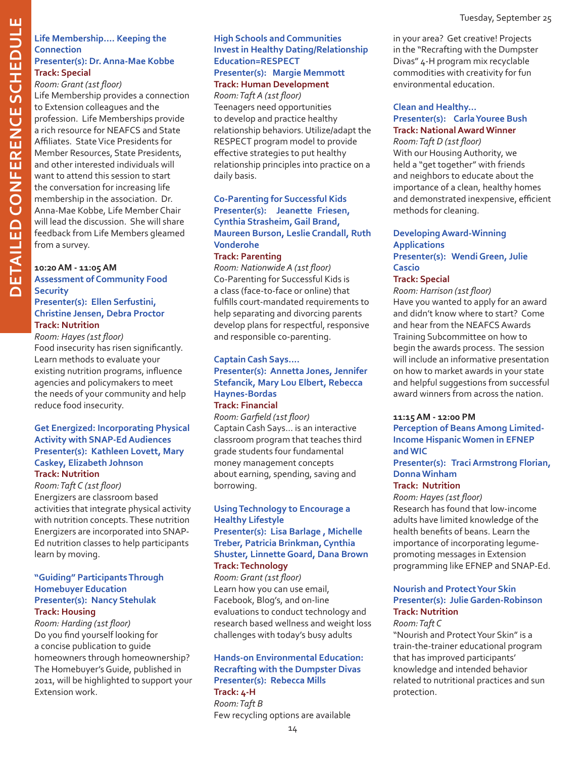#### **Life Membership…. Keeping the Connection Presenter(s): Dr. Anna-Mae Kobbe**

#### **Track: Special** *Room: Grant (1st floor)*

Life Membership provides a connection to Extension colleagues and the profession. Life Memberships provide a rich resource for NEAFCS and State Affiliates. State Vice Presidents for Member Resources, State Presidents, and other interested individuals will want to attend this session to start the conversation for increasing life membership in the association. Dr. Anna-Mae Kobbe, Life Member Chair will lead the discussion. She will share feedback from Life Members gleamed from a survey.

### **10:20 AM - 11:05 AM Assessment of Community Food Security**

#### **Presenter(s): Ellen Serfustini, Christine Jensen, Debra Proctor Track: Nutrition**

*Room: Hayes (1st floor)* Food insecurity has risen significantly. Learn methods to evaluate your existing nutrition programs, influence agencies and policymakers to meet the needs of your community and help reduce food insecurity.

#### **Get Energized: Incorporating Physical Activity with SNAP-Ed Audiences Presenter(s): Kathleen Lovett, Mary Caskey, Elizabeth Johnson Track: Nutrition**

*Room: Taft C (1st floor)* Energizers are classroom based activities that integrate physical activity with nutrition concepts. These nutrition Energizers are incorporated into SNAP-Ed nutrition classes to help participants learn by moving.

#### **"Guiding" Participants Through Homebuyer Education Presenter(s): Nancy Stehulak Track: Housing**

*Room: Harding (1st floor)* Do you find yourself looking for a concise publication to guide homeowners through homeownership? The Homebuyer's Guide, published in 2011, will be highlighted to support your Extension work.

#### **High Schools and Communities Invest in Healthy Dating/Relationship Education=RESPECT Presenter(s): Margie Memmott Track: Human Development**

*Room: Taft A (1st floor)* Teenagers need opportunities to develop and practice healthy relationship behaviors. Utilize/adapt the RESPECT program model to provide effective strategies to put healthy relationship principles into practice on a daily basis.

#### **Co-Parenting for Successful Kids Presenter(s): Jeanette Friesen, Cynthia Strasheim, Gail Brand, Maureen Burson, Leslie Crandall, Ruth Vonderohe**

#### **Track: Parenting**

*Room: Nationwide A (1st floor)* Co-Parenting for Successful Kids is a class (face-to-face or online) that fulfills court-mandated requirements to help separating and divorcing parents develop plans for respectful, responsive and responsible co-parenting.

#### **Captain Cash Says.... Presenter(s): Annetta Jones, Jennifer Stefancik, Mary Lou Elbert, Rebecca Haynes-Bordas Track: Financial**

*Room: Garfield (1st floor)* Captain Cash Says… is an interactive classroom program that teaches third grade students four fundamental money management concepts about earning, spending, saving and borrowing.

#### **Using Technology to Encourage a Healthy Lifestyle Presenter(s): Lisa Barlage , Michelle Treber, Patricia Brinkman, Cynthia Shuster, Linnette Goard, Dana Brown Track: Technology**

*Room: Grant (1st floor)* Learn how you can use email, Facebook, Blog's, and on-line evaluations to conduct technology and research based wellness and weight loss challenges with today's busy adults

### **Hands-on Environmental Education: Recrafting with the Dumpster Divas Presenter(s): Rebecca Mills Track: 4-H**

*Room: Taft B* Few recycling options are available in your area? Get creative! Projects in the "Recrafting with the Dumpster Divas" 4-H program mix recyclable commodities with creativity for fun environmental education.

#### **Clean and Healthy… Presenter(s): Carla Youree Bush Track: National Award Winner**

*Room: Taft D (1st floor)* With our Housing Authority, we held a "get together" with friends and neighbors to educate about the importance of a clean, healthy homes and demonstrated inexpensive, efficient methods for cleaning.

#### **Developing Award-Winning Applications Presenter(s): Wendi Green, Julie Cascio**

#### **Track: Special**

*Room: Harrison (1st floor)* Have you wanted to apply for an award and didn't know where to start? Come and hear from the NEAFCS Awards Training Subcommittee on how to begin the awards process. The session will include an informative presentation on how to market awards in your state and helpful suggestions from successful award winners from across the nation.

#### **11:15 AM - 12:00 PM**

**Perception of Beans Among Limited-Income Hispanic Women in EFNEP and WIC**

**Presenter(s): Traci Armstrong Florian, Donna Winham** 

#### **Track: Nutrition**

*Room: Hayes (1st floor)*

Research has found that low-income adults have limited knowledge of the health benefits of beans. Learn the importance of incorporating legumepromoting messages in Extension programming like EFNEP and SNAP-Ed.

#### **Nourish and Protect Your Skin Presenter(s): Julie Garden-Robinson Track: Nutrition**

#### *Room: Taft C*

"Nourish and Protect Your Skin" is a train-the-trainer educational program that has improved participants' knowledge and intended behavior related to nutritional practices and sun protection.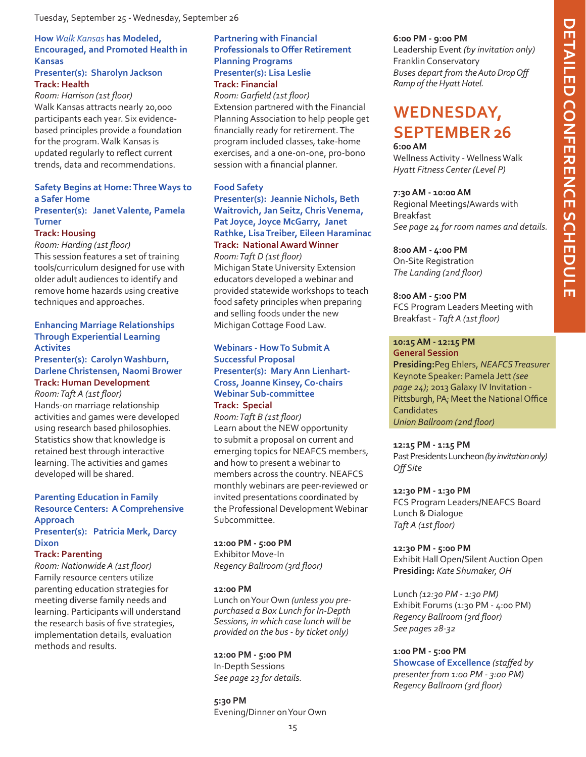#### **How** *Walk Kansas* **has Modeled, Encouraged, and Promoted Health in Kansas**

#### **Presenter(s): Sharolyn Jackson Track: Health**

*Room: Harrison (1st floor)* Walk Kansas attracts nearly 20,000 participants each year. Six evidencebased principles provide a foundation for the program. Walk Kansas is updated regularly to reflect current trends, data and recommendations.

#### **Safety Begins at Home: Three Ways to a Safer Home Presenter(s): Janet Valente, Pamela**

#### **Turner Track: Housing**

*Room: Harding (1st floor)*

This session features a set of training tools/curriculum designed for use with older adult audiences to identify and remove home hazards using creative techniques and approaches.

#### **Enhancing Marriage Relationships Through Experiential Learning Activites**

#### **Presenter(s): Carolyn Washburn, Darlene Christensen, Naomi Brower Track: Human Development**

*Room: Taft A (1st floor)* Hands-on marriage relationship activities and games were developed using research based philosophies. Statistics show that knowledge is retained best through interactive learning. The activities and games developed will be shared.

#### **Parenting Education in Family Resource Centers: A Comprehensive Approach Presenter(s): Patricia Merk, Darcy Dixon**

#### **Track: Parenting**

*Room: Nationwide A (1st floor)* Family resource centers utilize parenting education strategies for meeting diverse family needs and learning. Participants will understand the research basis of five strategies, implementation details, evaluation methods and results.

#### **Partnering with Financial Professionals to Offer Retirement Planning Programs Presenter(s): Lisa Leslie Track: Financial**

*Room: Garfield (1st floor)* Extension partnered with the Financial Planning Association to help people get financially ready for retirement. The program included classes, take-home exercises, and a one-on-one, pro-bono session with a financial planner.

#### **Food Safety**

#### **Presenter(s): Jeannie Nichols, Beth Waitrovich, Jan Seitz, Chris Venema, Pat Joyce, Joyce McGarry, Janet Rathke, Lisa Treiber, Eileen Haraminac Track: National Award Winner**  *Room: Taft D (1st floor)*

Michigan State University Extension educators developed a webinar and provided statewide workshops to teach food safety principles when preparing and selling foods under the new Michigan Cottage Food Law.

#### **Webinars - How To Submit A Successful Proposal Presenter(s): Mary Ann Lienhart-Cross, Joanne Kinsey, Co-chairs Webinar Sub-committee Track: Special**

*Room: Taft B (1st floor)* Learn about the NEW opportunity to submit a proposal on current and emerging topics for NEAFCS members, and how to present a webinar to members across the country. NEAFCS monthly webinars are peer-reviewed or invited presentations coordinated by the Professional Development Webinar Subcommittee.

#### **12:00 PM - 5:00 PM**

Exhibitor Move-In *Regency Ballroom (3rd floor)*

#### **12:00 PM**

Lunch on Your Own *(unless you prepurchased a Box Lunch for In-Depth Sessions, in which case lunch will be provided on the bus - by ticket only)*

**12:00 PM - 5:00 PM** In-Depth Sessions *See page 23 for details.*

#### **5:30 PM**  Evening/Dinner on Your Own

#### **6:00 PM - 9:00 PM**

Leadership Event *(by invitation only)* Franklin Conservatory *Buses depart from the Auto Drop Off Ramp of the Hyatt Hotel.*

### **Wednesday, September 26 6:00 AM**

Wellness Activity - Wellness Walk *Hyatt Fitness Center (Level P)*

#### **7:30 AM - 10:00 AM**

Regional Meetings/Awards with Breakfast *See page 24 for room names and details.*

#### **8:00 AM - 4:00 PM**

On-Site Registration *The Landing (2nd floor)*

#### **8:00 AM - 5:00 PM**

FCS Program Leaders Meeting with Breakfast - *Taft A (1st floor)*

#### **10:15 AM - 12:15 PM**

#### **General Session**

**Presiding:**Peg Ehlers, *NEAFCS Treasurer* Keynote Speaker: Pamela Jett *(see page 24)*; 2013 Galaxy IV Invitation - Pittsburgh, PA; Meet the National Office **Candidates** *Union Ballroom (2nd floor)*

#### **12:15 PM - 1:15 PM**

Past Presidents Luncheon *(by invitation only) Off Site*

#### **12:30 PM - 1:30 PM**

FCS Program Leaders/NEAFCS Board Lunch & Dialogue *Taft A (1st floor)*

### **12:30 PM - 5:00 PM**

Exhibit Hall Open/Silent Auction Open **Presiding:** *Kate Shumaker, OH*

Lunch *(12:30 PM - 1:30 PM)* Exhibit Forums (1:30 PM - 4:00 PM) *Regency Ballroom (3rd floor) See pages 28-32*

#### **1:00 PM - 5:00 PM Showcase of Excellence** *(staffed by presenter from 1:00 PM - 3:00 PM) Regency Ballroom (3rd floor)*

**DETAILED CONFERENCE SCHEDULE detailed con ference sc hedule**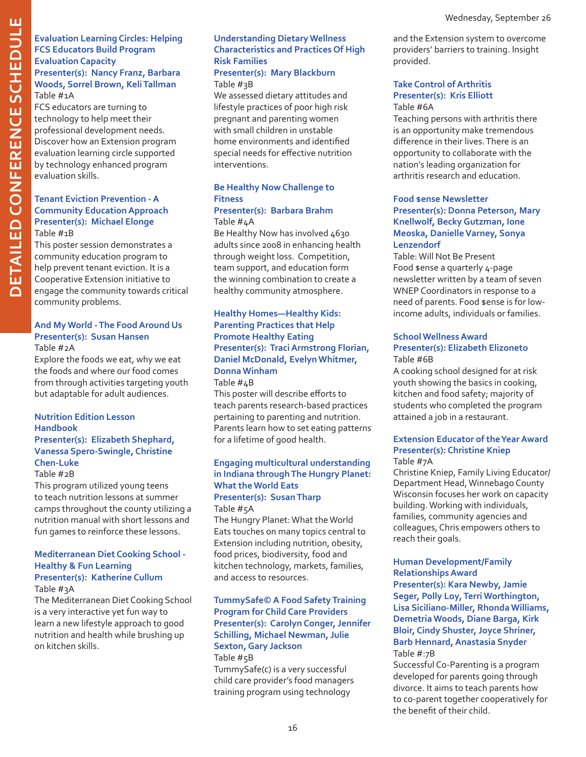#### **Evaluation Learning Circles: Helping FCS Educators Build Program Evaluation Capacity Presenter(s): Nancy Franz, Barbara Woods, Sorrel Brown, Keli Tallman**

Table #1A

FCS educators are turning to technology to help meet their professional development needs. Discover how an Extension program evaluation learning circle supported by technology enhanced program evaluation skills.

#### **Tenant Eviction Prevention - A Community Education Approach Presenter(s): Michael Elonge** Table #1B

This poster session demonstrates a community education program to help prevent tenant eviction. It is a Cooperative Extension initiative to engage the community towards critical community problems.

#### **And My World - The Food Around Us Presenter(s): Susan Hansen** Table #2A

Explore the foods we eat, why we eat

the foods and where our food comes from through activities targeting youth but adaptable for adult audiences.

#### **Nutrition Edition Lesson Handbook Presenter(s): Elizabeth Shephard, Vanessa Spero-Swingle, Christine Chen-Luke**

#### Table #2B

This program utilized young teens to teach nutrition lessons at summer camps throughout the county utilizing a nutrition manual with short lessons and fun games to reinforce these lessons.

#### **Mediterranean Diet Cooking School - Healthy & Fun Learning Presenter(s): Katherine Cullum**

Table #3A

The Mediterranean Diet Cooking School is a very interactive yet fun way to learn a new lifestyle approach to good nutrition and health while brushing up on kitchen skills.

### **Understanding Dietary Wellness Characteristics and Practices Of High Risk Families**

#### **Presenter(s): Mary Blackburn** Table #3B

We assessed dietary attitudes and lifestyle practices of poor high risk pregnant and parenting women with small children in unstable home environments and identified special needs for effective nutrition interventions.

### **Be Healthy Now Challenge to Fitness**

#### **Presenter(s): Barbara Brahm** Table #4A

Be Healthy Now has involved 4630 adults since 2008 in enhancing health through weight loss. Competition, team support, and education form the winning combination to create a healthy community atmosphere.

#### **Healthy Homes—Healthy Kids: Parenting Practices that Help Promote Healthy Eating Presenter(s): Traci Armstrong Florian, Daniel McDonald, Evelyn Whitmer, Donna Winham** Table #4B

This poster will describe efforts to teach parents research-based practices pertaining to parenting and nutrition. Parents learn how to set eating patterns for a lifetime of good health.

#### **Engaging multicultural understanding in Indiana through The Hungry Planet: What the World Eats Presenter(s): Susan Tharp**

## Table #5A

The Hungry Planet: What the World Eats touches on many topics central to Extension including nutrition, obesity, food prices, biodiversity, food and kitchen technology, markets, families, and access to resources.

#### **TummySafe© A Food Safety Training Program for Child Care Providers Presenter(s): Carolyn Conger, Jennifer Schilling, Michael Newman, Julie Sexton, Gary Jackson** Table #5B

TummySafe(c) is a very successful child care provider's food managers training program using technology

and the Extension system to overcome providers' barriers to training. Insight provided.

#### **Take Control of Arthritis Presenter(s): Kris Elliott** Table #6A

Teaching persons with arthritis there is an opportunity make tremendous difference in their lives. There is an opportunity to collaborate with the nation's leading organization for arthritis research and education.

#### **Food \$ense Newsletter Presenter(s): Donna Peterson, Mary Knellwolf, Becky Gutzman, Ione Meoska, Danielle Varney, Sonya Lenzendorf**

Table: Will Not Be Present Food \$ense a quarterly 4-page newsletter written by a team of seven WNEP Coordinators in response to a need of parents. Food \$ense is for lowincome adults, individuals or families.

#### **School Wellness Award Presenter(s): Elizabeth Elizoneto** Table #6B

A cooking school designed for at risk youth showing the basics in cooking, kitchen and food safety; majority of students who completed the program attained a job in a restaurant.

#### **Extension Educator of the Year Award Presenter(s): Christine Kniep** Table #7A

Christine Kniep, Family Living Educator/ Department Head, Winnebago County Wisconsin focuses her work on capacity building. Working with individuals, families, community agencies and colleagues, Chris empowers others to reach their goals.

#### **Human Development/Family Relationships Award**

**Presenter(s): Kara Newby, Jamie Seger, Polly Loy, Terri Worthington, Lisa Siciliano-Miller, Rhonda Williams, Demetria Woods, Diane Barga, Kirk Bloir, Cindy Shuster, Joyce Shriner, Barb Hennard, Anastasia Snyder** Table #:7B

Successful Co-Parenting is a program developed for parents going through divorce. It aims to teach parents how to co-parent together cooperatively for the benefit of their child.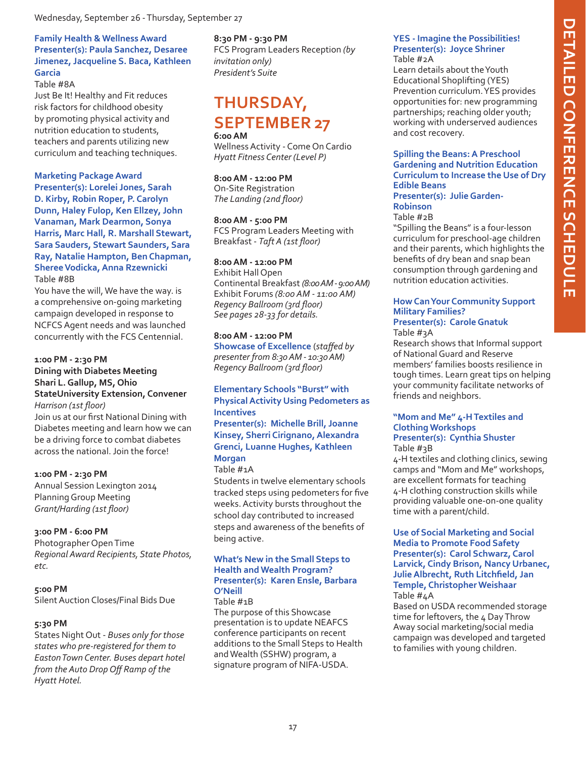#### Wednesday, September 26 - Thursday, September 27

#### **Family Health & Wellness Award Presenter(s): Paula Sanchez, Desaree Jimenez, Jacqueline S. Baca, Kathleen Garcia**

#### Table #8A

Just Be It! Healthy and Fit reduces risk factors for childhood obesity by promoting physical activity and nutrition education to students, teachers and parents utilizing new curriculum and teaching techniques.

#### **Marketing Package Award**

**Presenter(s): Lorelei Jones, Sarah D. Kirby, Robin Roper, P. Carolyn Dunn, Haley Fulop, Ken Ellzey, John Vanaman, Mark Dearmon, Sonya Harris, Marc Hall, R. Marshall Stewart, Sara Sauders, Stewart Saunders, Sara Ray, Natalie Hampton, Ben Chapman, Sheree Vodicka, Anna Rzewnicki** Table #8B

You have the will, We have the way. is a comprehensive on-going marketing campaign developed in response to NCFCS Agent needs and was launched concurrently with the FCS Centennial.

#### **1:00 PM - 2:30 PM**

#### **Dining with Diabetes Meeting Shari L. Gallup, MS, Ohio StateUniversity Extension, Convener** *Harrison (1st floor)*

Join us at our first National Dining with Diabetes meeting and learn how we can be a driving force to combat diabetes across the national. Join the force!

#### **1:00 PM - 2:30 PM**

Annual Session Lexington 2014 Planning Group Meeting *Grant/Harding (1st floor)*

#### **3:00 PM - 6:00 PM**

Photographer Open Time *Regional Award Recipients, State Photos, etc.*

#### **5:00 PM**

Silent Auction Closes/Final Bids Due

#### **5:30 PM**

States Night Out - *Buses only for those states who pre-registered for them to Easton Town Center. Buses depart hotel from the Auto Drop Off Ramp of the Hyatt Hotel.*

#### **8:30 PM - 9:30 PM**

FCS Program Leaders Reception *(by invitation only) President's Suite*

### **Thursday, September 27 6:00 AM**

Wellness Activity - Come On Cardio *Hyatt Fitness Center (Level P)*

#### **8:00 AM - 12:00 PM**

On-Site Registration *The Landing (2nd floor)*

#### **8:00 AM - 5:00 PM**

FCS Program Leaders Meeting with Breakfast - *Taft A (1st floor)*

#### **8:00 AM - 12:00 PM**

Exhibit Hall Open Continental Breakfast *(8:00 AM - 9:00 AM)* Exhibit Forums *(8:00 AM - 11:00 AM) Regency Ballroom (3rd floor) See pages 28-33 for details.*

#### **8:00 AM - 12:00 PM**

**Showcase of Excellence** (*staffed by presenter from 8:30 AM - 10:30 AM) Regency Ballroom (3rd floor)*

#### **Elementary Schools "Burst" with Physical Activity Using Pedometers as Incentives Presenter(s): Michelle Brill, Joanne Kinsey, Sherri Cirignano, Alexandra Grenci, Luanne Hughes, Kathleen**

#### **Morgan**

#### Table #1A

Students in twelve elementary schools tracked steps using pedometers for five weeks. Activity bursts throughout the school day contributed to increased steps and awareness of the benefits of being active.

#### **What's New in the Small Steps to Health and Wealth Program? Presenter(s): Karen Ensle, Barbara O'Neill**

#### Table #1B

The purpose of this Showcase presentation is to update NEAFCS conference participants on recent additions to the Small Steps to Health and Wealth (SSHW) program, a signature program of NIFA-USDA.

#### **YES - Imagine the Possibilities! Presenter(s): Joyce Shriner** Table #2A

Learn details about the Youth Educational Shoplifting (YES) Prevention curriculum. YES provides opportunities for: new programming partnerships; reaching older youth; working with underserved audiences and cost recovery.

#### **Spilling the Beans: A Preschool Gardening and Nutrition Education Curriculum to Increase the Use of Dry Edible Beans**

**Presenter(s): Julie Garden-Robinson**

Table #2B

"Spilling the Beans" is a four-lesson curriculum for preschool-age children and their parents, which highlights the benefits of dry bean and snap bean consumption through gardening and nutrition education activities.

#### **How Can Your Community Support Military Families? Presenter(s): Carole Gnatuk**

Table #3A

Research shows that Informal support of National Guard and Reserve members' families boosts resilience in tough times. Learn great tips on helping your community facilitate networks of friends and neighbors.

#### **"Mom and Me" 4-H Textiles and Clothing Workshops Presenter(s): Cynthia Shuster** Table #3B

4-H textiles and clothing clinics, sewing camps and "Mom and Me" workshops, are excellent formats for teaching 4-H clothing construction skills while providing valuable one-on-one quality time with a parent/child.

#### **Use of Social Marketing and Social Media to Promote Food Safety Presenter(s): Carol Schwarz, Carol Larvick, Cindy Brison, Nancy Urbanec, Julie Albrecht, Ruth Litchfield, Jan Temple, Christopher Weishaar** Table #4A

Based on USDA recommended storage time for leftovers, the 4 Day Throw Away social marketing/social media campaign was developed and targeted to families with young children.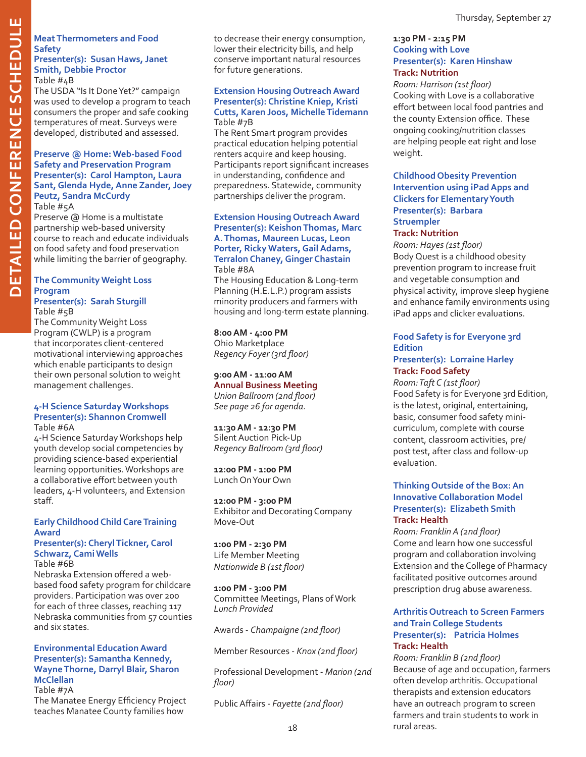#### **Meat Thermometers and Food Safety Presenter(s): Susan Haws, Janet Smith, Debbie Proctor**

Table #4B The USDA "Is It Done Yet?" campaign was used to develop a program to teach consumers the proper and safe cooking temperatures of meat. Surveys were developed, distributed and assessed.

#### **Preserve @ Home: Web-based Food Safety and Preservation Program Presenter(s): Carol Hampton, Laura Sant, Glenda Hyde, Anne Zander, Joey Peutz, Sandra McCurdy**

Table #5A

Preserve @ Home is a multistate partnership web-based university course to reach and educate individuals on food safety and food preservation while limiting the barrier of geography.

### **The Community Weight Loss Program**

**Presenter(s): Sarah Sturgill** Table #5B

The Community Weight Loss Program (CWLP) is a program that incorporates client-centered motivational interviewing approaches which enable participants to design their own personal solution to weight management challenges.

#### **4-H Science Saturday Workshops Presenter(s): Shannon Cromwell** Table #6A

4-H Science Saturday Workshops help youth develop social competencies by providing science-based experiential learning opportunities. Workshops are a collaborative effort between youth leaders, 4-H volunteers, and Extension staff.

#### **Early Childhood Child Care Training Award**

#### **Presenter(s): Cheryl Tickner, Carol Schwarz, Cami Wells** Table #6B

Nebraska Extension offered a webbased food safety program for childcare providers. Participation was over 200 for each of three classes, reaching 117 Nebraska communities from 57 counties and six states.

#### **Environmental Education Award Presenter(s): Samantha Kennedy, Wayne Thorne, Darryl Blair, Sharon McClellan**

Table #7A

The Manatee Energy Efficiency Project teaches Manatee County families how

to decrease their energy consumption, lower their electricity bills, and help conserve important natural resources for future generations.

#### **Extension Housing Outreach Award Presenter(s): Christine Kniep, Kristi Cutts, Karen Joos, Michelle Tidemann** Table #7B

The Rent Smart program provides practical education helping potential renters acquire and keep housing. Participants report significant increases in understanding, confidence and preparedness. Statewide, community partnerships deliver the program.

#### **Extension Housing Outreach Award Presenter(s): Keishon Thomas, Marc A. Thomas, Maureen Lucas, Leon Porter, Ricky Waters, Gail Adams, Terralon Chaney, Ginger Chastain** Table #8A

The Housing Education & Long-term Planning (H.E.L.P.) program assists minority producers and farmers with housing and long-term estate planning.

#### **8:00 AM - 4:00 PM**

Ohio Marketplace *Regency Foyer (3rd floor)*

#### **9:00 AM - 11:00 AM Annual Business Meeting**

*Union Ballroom (2nd floor) See page 26 for agenda.*

#### **11:30 AM - 12:30 PM** Silent Auction Pick-Up *Regency Ballroom (3rd floor)*

**12:00 PM - 1:00 PM** Lunch On Your Own

**12:00 PM - 3:00 PM** Exhibitor and Decorating Company Move-Out

#### **1:00 PM - 2:30 PM** Life Member Meeting *Nationwide B (1st floor)*

**1:00 PM - 3:00 PM** Committee Meetings, Plans of Work *Lunch Provided*

Awards - *Champaigne (2nd floor)*

Member Resources - *Knox (2nd floor)*

Professional Development - *Marion (2nd floor)*

Public Affairs - *Fayette (2nd floor)*

#### **1:30 PM - 2:15 PM Cooking with Love Presenter(s): Karen Hinshaw Track: Nutrition**

*Room: Harrison (1st floor)* Cooking with Love is a collaborative effort between local food pantries and the county Extension office. These ongoing cooking/nutrition classes are helping people eat right and lose weight.

#### **Childhood Obesity Prevention Intervention using iPad Apps and Clickers for Elementary Youth Presenter(s): Barbara Struempler**

#### **Track: Nutrition**

*Room: Hayes (1st floor)* Body Quest is a childhood obesity prevention program to increase fruit and vegetable consumption and physical activity, improve sleep hygiene and enhance family environments using iPad apps and clicker evaluations.

### **Food Safety is for Everyone 3rd Edition**

#### **Presenter(s): Lorraine Harley Track: Food Safety**

*Room: Taft C (1st floor)* Food Safety is for Everyone 3rd Edition, is the latest, original, entertaining, basic, consumer food safety minicurriculum, complete with course content, classroom activities, pre/ post test, after class and follow-up evaluation.

#### **Thinking Outside of the Box: An Innovative Collaboration Model Presenter(s): Elizabeth Smith Track: Health**

*Room: Franklin A (2nd floor)* Come and learn how one successful program and collaboration involving Extension and the College of Pharmacy facilitated positive outcomes around prescription drug abuse awareness.

#### **Arthritis Outreach to Screen Farmers and Train College Students Presenter(s): Patricia Holmes Track: Health**

*Room: Franklin B (2nd floor)* Because of age and occupation, farmers often develop arthritis. Occupational therapists and extension educators have an outreach program to screen farmers and train students to work in rural areas.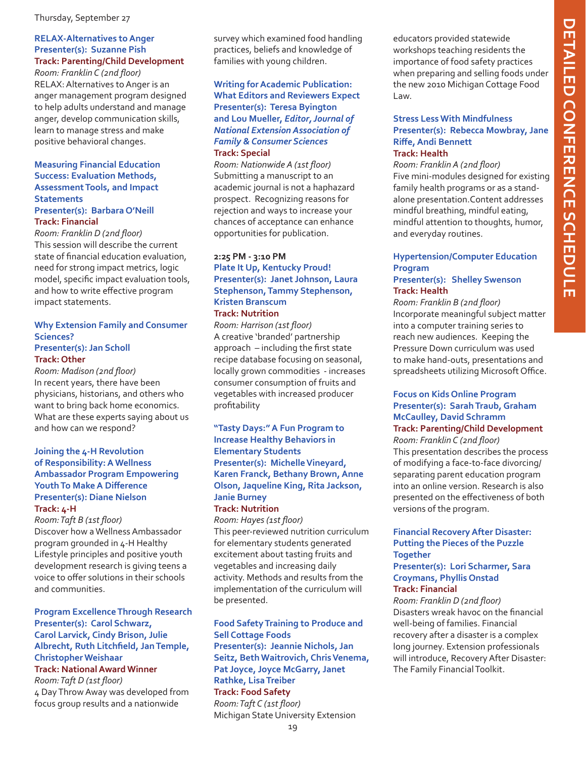#### Thursday, September 27

#### **RELAX-Alternatives to Anger Presenter(s): Suzanne Pish Track: Parenting/Child Development**

*Room: Franklin C (2nd floor)* RELAX: Alternatives to Anger is an anger management program designed to help adults understand and manage anger, develop communication skills, learn to manage stress and make positive behavioral changes.

#### **Measuring Financial Education Success: Evaluation Methods, Assessment Tools, and Impact Statements**

#### **Presenter(s): Barbara O'Neill Track: Financial**

*Room: Franklin D (2nd floor)* This session will describe the current state of financial education evaluation, need for strong impact metrics, logic model, specific impact evaluation tools, and how to write effective program impact statements.

#### **Why Extension Family and Consumer Sciences? Presenter(s): Jan Scholl**

#### **Track: Other**

*Room: Madison (2nd floor)* In recent years, there have been physicians, historians, and others who want to bring back home economics. What are these experts saying about us and how can we respond?

#### **Joining the 4-H Revolution of Responsibility: A Wellness Ambassador Program Empowering Youth To Make A Difference Presenter(s): Diane Nielson Track: 4-H**

*Room: Taft B (1st floor)* Discover how a Wellness Ambassador program grounded in 4-H Healthy Lifestyle principles and positive youth development research is giving teens a voice to offer solutions in their schools and communities.

#### **Program Excellence Through Research Presenter(s): Carol Schwarz, Carol Larvick, Cindy Brison, Julie Albrecht, Ruth Litchfield, Jan Temple, Christopher Weishaar Track: National Award Winner**

*Room: Taft D (1st floor)* 4 Day Throw Away was developed from focus group results and a nationwide

survey which examined food handling practices, beliefs and knowledge of families with young children.

#### **Writing for Academic Publication: What Editors and Reviewers Expect Presenter(s): Teresa Byington and Lou Mueller,** *Editor, Journal of National Extension Association of Family & Consumer Sciences* **Track: Special**

*Room: Nationwide A (1st floor)* Submitting a manuscript to an academic journal is not a haphazard prospect. Recognizing reasons for rejection and ways to increase your chances of acceptance can enhance opportunities for publication.

#### **2:25 PM - 3:10 PM Plate It Up, Kentucky Proud! Presenter(s): Janet Johnson, Laura Stephenson, Tammy Stephenson, Kristen Branscum Track: Nutrition**

*Room: Harrison (1st floor)* A creative 'branded' partnership approach – including the first state recipe database focusing on seasonal, locally grown commodities - increases consumer consumption of fruits and vegetables with increased producer profitability

#### **"Tasty Days:" A Fun Program to Increase Healthy Behaviors in Elementary Students Presenter(s): Michelle Vineyard, Karen Franck, Bethany Brown, Anne Olson, Jaqueline King, Rita Jackson, Janie Burney Track: Nutrition**

*Room: Hayes (1st floor)* This peer-reviewed nutrition curriculum for elementary students generated excitement about tasting fruits and vegetables and increasing daily activity. Methods and results from the implementation of the curriculum will

be presented.

**Food Safety Training to Produce and Sell Cottage Foods Presenter(s): Jeannie Nichols, Jan Seitz, Beth Waitrovich, Chris Venema, Pat Joyce, Joyce McGarry, Janet Rathke, Lisa Treiber Track: Food Safety** *Room: Taft C (1st floor)* Michigan State University Extension

educators provided statewide workshops teaching residents the importance of food safety practices when preparing and selling foods under the new 2010 Michigan Cottage Food Law.

#### **Stress Less With Mindfulness Presenter(s): Rebecca Mowbray, Jane Riffe, Andi Bennett Track: Health**

*Room: Franklin A (2nd floor)* Five mini-modules designed for existing family health programs or as a standalone presentation.Content addresses mindful breathing, mindful eating, mindful attention to thoughts, humor, and everyday routines.

### **Hypertension/Computer Education Program**

#### **Presenter(s): Shelley Swenson Track: Health**

*Room: Franklin B (2nd floor)* Incorporate meaningful subject matter into a computer training series to reach new audiences. Keeping the Pressure Down curriculum was used to make hand-outs, presentations and spreadsheets utilizing Microsoft Office.

#### **Focus on Kids Online Program Presenter(s): Sarah Traub, Graham McCaulley, David Schramm Track: Parenting/Child Development**

*Room: Franklin C (2nd floor)* This presentation describes the process of modifying a face-to-face divorcing/ separating parent education program into an online version. Research is also presented on the effectiveness of both versions of the program.

#### **Financial Recovery After Disaster: Putting the Pieces of the Puzzle Together**

#### **Presenter(s): Lori Scharmer, Sara Croymans, Phyllis Onstad Track: Financial**

*Room: Franklin D (2nd floor)* Disasters wreak havoc on the financial well-being of families. Financial recovery after a disaster is a complex long journey. Extension professionals will introduce, Recovery After Disaster: The Family Financial Toolkit.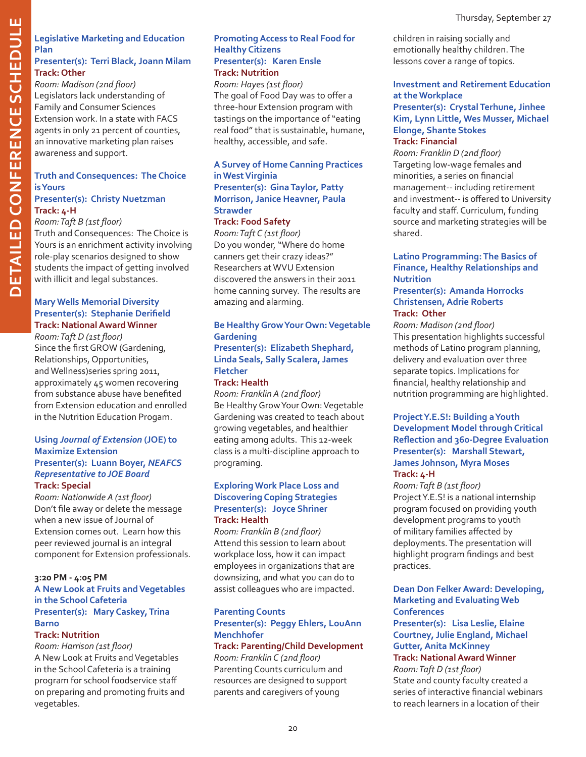### **hedule I ample Strategislative Marketing and Education<br>
Plan<br>
Presenter(s): Terri Black, Joann Milan<br>
Track: Other<br>
Track: Other Plan Presenter(s): Terri Black, Joann Milam Track: Other**

*Room: Madison (2nd floor)* Legislators lack understanding of Family and Consumer Sciences Extension work. In a state with FACS agents in only 21 percent of counties, an innovative marketing plan raises awareness and support.

#### **Truth and Consequences: The Choice is Yours Presenter(s): Christy Nuetzman**

## **Track: 4-H**

*Room: Taft B (1st floor)*

Truth and Consequences: The Choice is Yours is an enrichment activity involving role-play scenarios designed to show students the impact of getting involved with illicit and legal substances.

### **Mary Wells Memorial Diversity Presenter(s): Stephanie Derifield Track: National Award Winner**

*Room: Taft D (1st floor)* Since the first GROW (Gardening, Relationships, Opportunities, and Wellness)series spring 2011, approximately 45 women recovering from substance abuse have benefited from Extension education and enrolled in the Nutrition Education Progam.

#### **Using** *Journal of Extension* **(JOE) to Maximize Extension Presenter(s): Luann Boyer,** *NEAFCS Representative to JOE Board* **Track: Special**

*Room: Nationwide A (1st floor)* Don't file away or delete the message when a new issue of Journal of Extension comes out. Learn how this peer reviewed journal is an integral component for Extension professionals.

### **3:20 PM - 4:05 PM**

#### **A New Look at Fruits and Vegetables in the School Cafeteria Presenter(s): Mary Caskey, Trina Barno**

#### **Track: Nutrition**

*Room: Harrison (1st floor)* A New Look at Fruits and Vegetables in the School Cafeteria is a training program for school foodservice staff on preparing and promoting fruits and vegetables.

#### **Promoting Access to Real Food for Healthy Citizens Presenter(s): Karen Ensle Track: Nutrition**

*Room: Hayes (1st floor)* The goal of Food Day was to offer a three-hour Extension program with tastings on the importance of "eating real food" that is sustainable, humane, healthy, accessible, and safe.

#### **A Survey of Home Canning Practices in West Virginia Presenter(s): Gina Taylor, Patty Morrison, Janice Heavner, Paula Strawder**

#### **Track: Food Safety**

*Room: Taft C (1st floor)* Do you wonder, "Where do home canners get their crazy ideas?" Researchers at WVU Extension discovered the answers in their 2011 home canning survey. The results are amazing and alarming.

#### **Be Healthy Grow Your Own: Vegetable Gardening Presenter(s): Elizabeth Shephard, Linda Seals, Sally Scalera, James Fletcher**

#### **Track: Health**

*Room: Franklin A (2nd floor)* Be Healthy Grow Your Own: Vegetable Gardening was created to teach about growing vegetables, and healthier eating among adults. This 12-week class is a multi-discipline approach to programing.

#### **Exploring Work Place Loss and Discovering Coping Strategies Presenter(s): Joyce Shriner Track: Health**

*Room: Franklin B (2nd floor)* Attend this session to learn about workplace loss, how it can impact employees in organizations that are downsizing, and what you can do to assist colleagues who are impacted.

### **Parenting Counts Presenter(s): Peggy Ehlers, LouAnn Menchhofer**

#### **Track: Parenting/Child Development** *Room: Franklin C (2nd floor)*

Parenting Counts curriculum and resources are designed to support parents and caregivers of young

children in raising socially and emotionally healthy children. The lessons cover a range of topics.

#### **Investment and Retirement Education at the Workplace Presenter(s): Crystal Terhune, Jinhee Kim, Lynn Little, Wes Musser, Michael Elonge, Shante Stokes Track: Financial**

*Room: Franklin D (2nd floor)* Targeting low-wage females and minorities, a series on financial management-- including retirement and investment-- is offered to University faculty and staff. Curriculum, funding source and marketing strategies will be shared.

#### **Latino Programming: The Basics of Finance, Healthy Relationships and Nutrition**

#### **Presenter(s): Amanda Horrocks Christensen, Adrie Roberts Track: Other**

*Room: Madison (2nd floor)* This presentation highlights successful methods of Latino program planning, delivery and evaluation over three separate topics. Implications for financial, healthy relationship and nutrition programming are highlighted.

#### **Project Y.E.S!: Building a Youth Development Model through Critical Reflection and 360-Degree Evaluation Presenter(s): Marshall Stewart, James Johnson, Myra Moses Track: 4-H**

*Room: Taft B (1st floor)* Project Y.E.S! is a national internship program focused on providing youth development programs to youth of military families affected by deployments. The presentation will highlight program findings and best practices.

#### **Dean Don Felker Award: Developing, Marketing and Evaluating Web Conferences**

**Presenter(s): Lisa Leslie, Elaine Courtney, Julie England, Michael Gutter, Anita McKinney Track: National Award Winner**

*Room: Taft D (1st floor)* State and county faculty created a series of interactive financial webinars to reach learners in a location of their